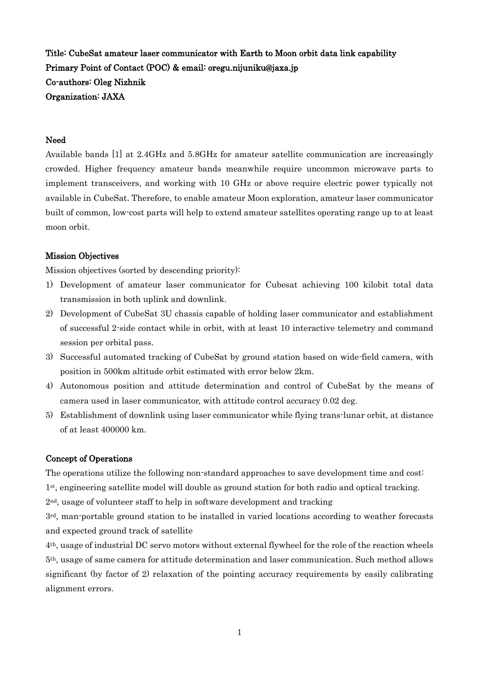Title: CubeSat amateur laser communicator with Earth to Moon orbit data link capability Primary Point of Contact (POC) & email: oregu.nijuniku@jaxa.jp Co-authors: Oleg Nizhnik Organization: JAXA

#### Need

Available bands [1] at 2.4GHz and 5.8GHz for amateur satellite communication are increasingly crowded. Higher frequency amateur bands meanwhile require uncommon microwave parts to implement transceivers, and working with 10 GHz or above require electric power typically not available in CubeSat. Therefore, to enable amateur Moon exploration, amateur laser communicator built of common, low-cost parts will help to extend amateur satellites operating range up to at least moon orbit.

#### Mission Objectives

Mission objectives (sorted by descending priority):

- 1) Development of amateur laser communicator for Cubesat achieving 100 kilobit total data transmission in both uplink and downlink.
- 2) Development of CubeSat 3U chassis capable of holding laser communicator and establishment of successful 2-side contact while in orbit, with at least 10 interactive telemetry and command session per orbital pass.
- 3) Successful automated tracking of CubeSat by ground station based on wide-field camera, with position in 500km altitude orbit estimated with error below 2km.
- 4) Autonomous position and attitude determination and control of CubeSat by the means of camera used in laser communicator, with attitude control accuracy 0.02 deg.
- 5) Establishment of downlink using laser communicator while flying trans-lunar orbit, at distance of at least 400000 km.

### Concept of Operations

The operations utilize the following non-standard approaches to save development time and cost:

1st, engineering satellite model will double as ground station for both radio and optical tracking.

2nd, usage of volunteer staff to help in software development and tracking

3rd, man-portable ground station to be installed in varied locations according to weather forecasts and expected ground track of satellite

4th, usage of industrial DC servo motors without external flywheel for the role of the reaction wheels 5th, usage of same camera for attitude determination and laser communication. Such method allows significant (by factor of 2) relaxation of the pointing accuracy requirements by easily calibrating alignment errors.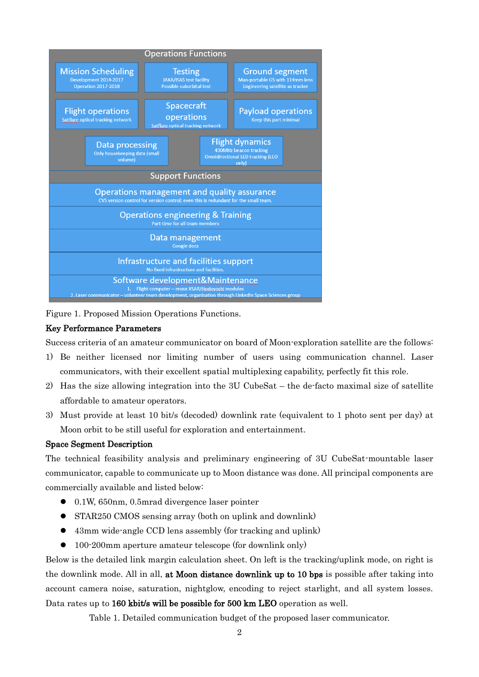

Figure 1. Proposed Mission Operations Functions.

## Key Performance Parameters

Success criteria of an amateur communicator on board of Moon-exploration satellite are the follows:

- 1) Be neither licensed nor limiting number of users using communication channel. Laser communicators, with their excellent spatial multiplexing capability, perfectly fit this role.
- 2) Has the size allowing integration into the 3U CubeSat the de-facto maximal size of satellite affordable to amateur operators.
- 3) Must provide at least 10 bit/s (decoded) downlink rate (equivalent to 1 photo sent per day) at Moon orbit to be still useful for exploration and entertainment.

### Space Segment Description

The technical feasibility analysis and preliminary engineering of 3U CubeSat-mountable laser communicator, capable to communicate up to Moon distance was done. All principal components are commercially available and listed below:

- 0.1W, 650nm, 0.5mrad divergence laser pointer
- STAR250 CMOS sensing array (both on uplink and downlink)
- 43mm wide-angle CCD lens assembly (for tracking and uplink)
- 100-200mm aperture amateur telescope (for downlink only)

Below is the detailed link margin calculation sheet. On left is the tracking/uplink mode, on right is the downlink mode. All in all, at Moon distance downlink up to 10 bps is possible after taking into account camera noise, saturation, nightglow, encoding to reject starlight, and all system losses. Data rates up to 160 kbit/s will be possible for 500 km LEO operation as well.

Table 1. Detailed communication budget of the proposed laser communicator.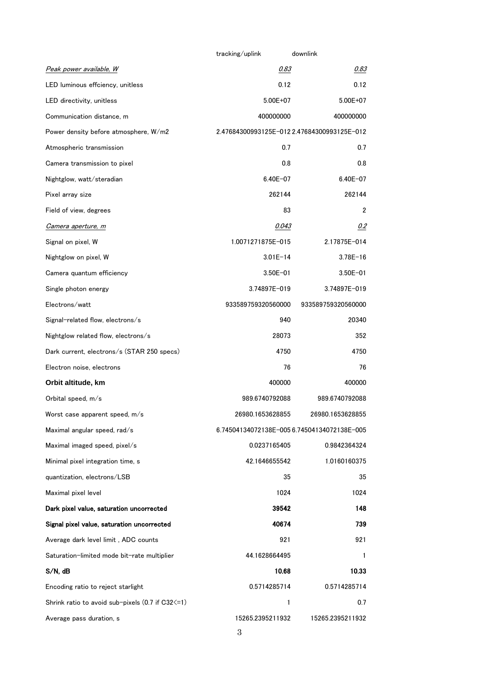|                                                                 | tracking/uplink                             | downlink                                    |  |
|-----------------------------------------------------------------|---------------------------------------------|---------------------------------------------|--|
| <u>Peak power available, W</u>                                  | 0.83                                        | 0.83                                        |  |
| LED luminous effciency, unitless                                | 0.12                                        | 0.12                                        |  |
| LED directivity, unitless                                       | 5.00E+07                                    | 5.00E+07                                    |  |
| Communication distance, m                                       | 400000000                                   | 400000000                                   |  |
| Power density before atmosphere, W/m2                           |                                             | 2.47684300993125E-012 2.47684300993125E-012 |  |
| Atmospheric transmission                                        | 0.7                                         | 0.7                                         |  |
| Camera transmission to pixel                                    | 0.8                                         | 0.8                                         |  |
| Nightglow, watt/steradian                                       | $6.40E - 07$                                | $6.40E - 07$                                |  |
| Pixel array size                                                | 262144                                      | 262144                                      |  |
| Field of view, degrees                                          | 83                                          | 2                                           |  |
| Camera aperture, m                                              | 0.043                                       | 0.2                                         |  |
| Signal on pixel, W                                              | 1.0071271875E-015                           | 2.17875E-014                                |  |
| Nightglow on pixel, W                                           | $3.01E - 14$                                | $3.78E - 16$                                |  |
| Camera quantum efficiency                                       | $3.50E - 01$                                | $3.50E - 01$                                |  |
| Single photon energy                                            | 3.74897E-019                                | 3.74897E-019                                |  |
| Electrons/watt                                                  | 933589759320560000                          | 933589759320560000                          |  |
| Signal-related flow, electrons/s                                | 940                                         | 20340                                       |  |
| Nightglow related flow, electrons/s                             | 28073                                       | 352                                         |  |
| Dark current, electrons/s (STAR 250 specs)                      | 4750                                        | 4750                                        |  |
| Electron noise, electrons                                       | 76                                          | 76                                          |  |
| Orbit altitude, km                                              | 400000<br>400000                            |                                             |  |
| Orbital speed, m/s                                              | 989.6740792088                              | 989.6740792088                              |  |
| Worst case apparent speed, m/s                                  | 26980.1653628855                            | 26980.1653628855                            |  |
| Maximal angular speed, rad/s                                    | 6.74504134072138E-005 6.74504134072138E-005 |                                             |  |
| Maximal imaged speed, pixel/s                                   | 0.0237165405                                | 0.9842364324                                |  |
| Minimal pixel integration time, s                               | 42.1646655542                               | 1.0160160375                                |  |
| quantization, electrons/LSB                                     | 35                                          | 35                                          |  |
| Maximal pixel level                                             | 1024                                        | 1024                                        |  |
| Dark pixel value, saturation uncorrected                        | 39542                                       | 148                                         |  |
| Signal pixel value, saturation uncorrected                      | 40674                                       | 739                                         |  |
| Average dark level limit, ADC counts                            | 921                                         | 921                                         |  |
| Saturation-limited mode bit-rate multiplier                     | 44.1628664495                               | 1                                           |  |
| $S/N$ , dB                                                      | 10.68                                       | 10.33                                       |  |
| Encoding ratio to reject starlight                              | 0.5714285714                                | 0.5714285714                                |  |
| Shrink ratio to avoid sub-pixels $(0.7 \text{ if } C32 \leq 1)$ | 1                                           | 0.7                                         |  |
| Average pass duration, s                                        | 15265.2395211932                            | 15265.2395211932                            |  |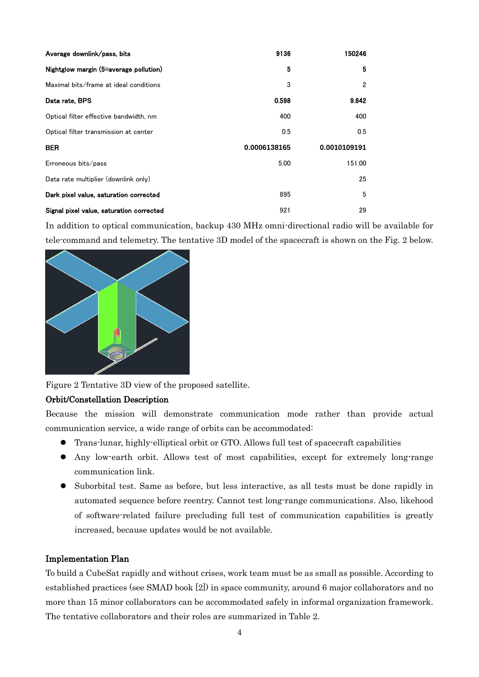| Average downlink/pass, bits              | 9136         | 150246       |
|------------------------------------------|--------------|--------------|
| Nightglow margin (5=average pollution)   | 5            | 5            |
| Maximal bits/frame at ideal conditions   | 3            | 2            |
| Data rate, BPS                           | 0.598        | 9.842        |
| Optical filter effective bandwidth, nm   | 400          | 400          |
| Optical filter transmission at center    | 0.5          | 0.5          |
| <b>BER</b>                               | 0.0006138165 | 0.0010109191 |
| Erroneous bits/pass                      | 5.00         | 151.00       |
| Data rate multiplier (downlink only)     |              | 25           |
| Dark pixel value, saturation corrected   | 895          | 5            |
| Signal pixel value, saturation corrected | 921          | 29           |

In addition to optical communication, backup 430 MHz omni-directional radio will be available for tele-command and telemetry. The tentative 3D model of the spacecraft is shown on the Fig. 2 below.



Figure 2 Tentative 3D view of the proposed satellite.

# Orbit/Constellation Description

Because the mission will demonstrate communication mode rather than provide actual communication service, a wide range of orbits can be accommodated:

- Trans-lunar, highly-elliptical orbit or GTO. Allows full test of spacecraft capabilities
- Any low-earth orbit. Allows test of most capabilities, except for extremely long-range communication link.
- Suborbital test. Same as before, but less interactive, as all tests must be done rapidly in automated sequence before reentry. Cannot test long-range communications. Also, likehood of software-related failure precluding full test of communication capabilities is greatly increased, because updates would be not available.

### Implementation Plan

To build a CubeSat rapidly and without crises, work team must be as small as possible. According to established practices (see SMAD book [2]) in space community, around 6 major collaborators and no more than 15 minor collaborators can be accommodated safely in informal organization framework. The tentative collaborators and their roles are summarized in Table 2.